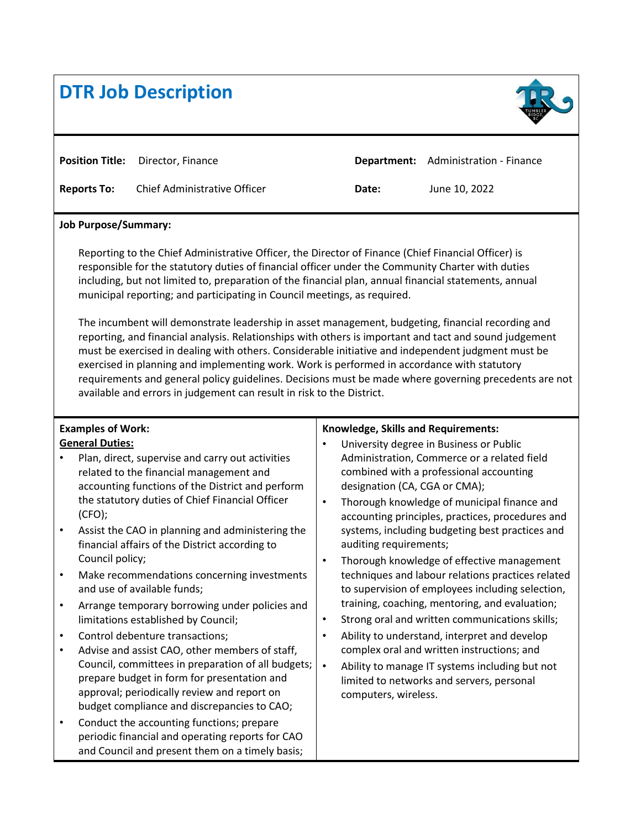# **DTR Job Description**



**Position Title:** Director, Finance **Department:** Administration - Finance **Reports To:** Chief Administrative Officer **Date:** June 10, 2022

#### **Job Purpose/Summary:**

Reporting to the Chief Administrative Officer, the Director of Finance (Chief Financial Officer) is responsible for the statutory duties of financial officer under the Community Charter with duties including, but not limited to, preparation of the financial plan, annual financial statements, annual municipal reporting; and participating in Council meetings, as required.

The incumbent will demonstrate leadership in asset management, budgeting, financial recording and reporting, and financial analysis. Relationships with others is important and tact and sound judgement must be exercised in dealing with others. Considerable initiative and independent judgment must be exercised in planning and implementing work. Work is performed in accordance with statutory requirements and general policy guidelines. Decisions must be made where governing precedents are not available and errors in judgement can result in risk to the District.

# **Examples of Work:**

## **General Duties:**

- Plan, direct, supervise and carry out activities related to the financial management and accounting functions of the District and perform the statutory duties of Chief Financial Officer (CFO);
- Assist the CAO in planning and administering the financial affairs of the District according to Council policy;
- Make recommendations concerning investments and use of available funds;
- Arrange temporary borrowing under policies and limitations established by Council;
- Control debenture transactions;
- Advise and assist CAO, other members of staff, Council, committees in preparation of all budgets; prepare budget in form for presentation and approval; periodically review and report on budget compliance and discrepancies to CAO;
- Conduct the accounting functions; prepare periodic financial and operating reports for CAO and Council and present them on a timely basis;

## **Knowledge, Skills and Requirements:**

- University degree in Business or Public Administration, Commerce or a related field combined with a professional accounting designation (CA, CGA or CMA);
- Thorough knowledge of municipal finance and accounting principles, practices, procedures and systems, including budgeting best practices and auditing requirements;
- Thorough knowledge of effective management techniques and labour relations practices related to supervision of employees including selection, training, coaching, mentoring, and evaluation;
- Strong oral and written communications skills;
- Ability to understand, interpret and develop complex oral and written instructions; and
- Ability to manage IT systems including but not limited to networks and servers, personal computers, wireless.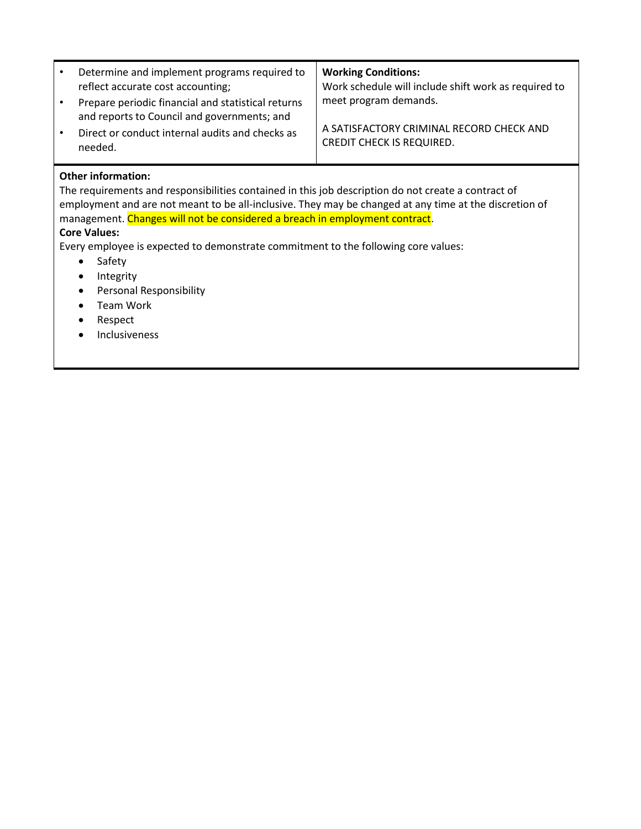| $\bullet$ | Determine and implement programs required to<br>reflect accurate cost accounting;                 | <b>Working Conditions:</b><br>Work schedule will include shift work as required to |
|-----------|---------------------------------------------------------------------------------------------------|------------------------------------------------------------------------------------|
|           | Prepare periodic financial and statistical returns<br>and reports to Council and governments; and | meet program demands.                                                              |
| $\bullet$ | Direct or conduct internal audits and checks as<br>needed.                                        | A SATISFACTORY CRIMINAL RECORD CHECK AND<br><b>CREDIT CHECK IS REQUIRED.</b>       |

#### **Other information:**

The requirements and responsibilities contained in this job description do not create a contract of employment and are not meant to be all-inclusive. They may be changed at any time at the discretion of management. Changes will not be considered a breach in employment contract.

# **Core Values:**

Every employee is expected to demonstrate commitment to the following core values:

- Safety
- Integrity
- **•** Personal Responsibility
- Team Work
- Respect
- Inclusiveness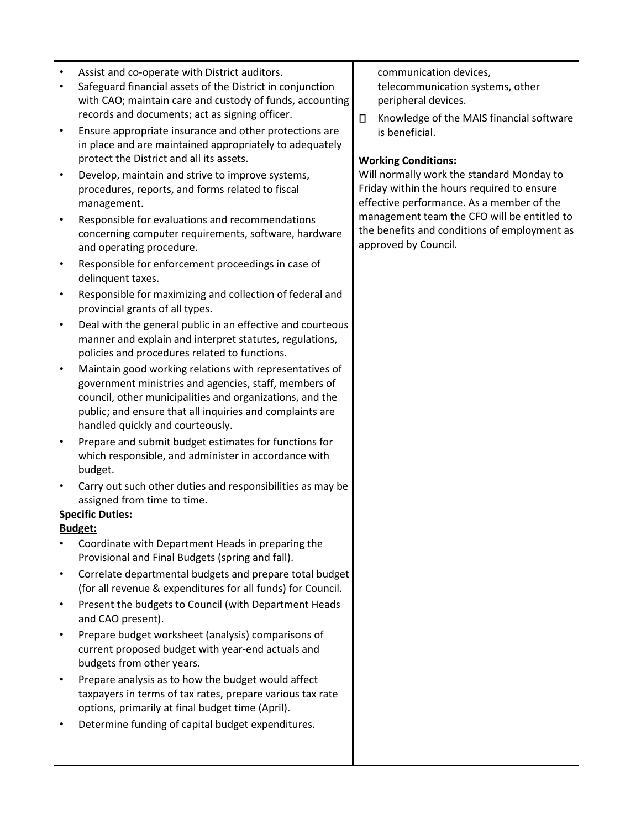- Assist and co-operate with District auditors.
- Safeguard financial assets of the District in conjunction with CAO; maintain care and custody of funds, accounting records and documents; act as signing officer.
- Ensure appropriate insurance and other protections are in place and are maintained appropriately to adequately protect the District and all its assets.
- Develop, maintain and strive to improve systems, procedures, reports, and forms related to fiscal management.
- Responsible for evaluations and recommendations concerning computer requirements, software, hardware and operating procedure.
- Responsible for enforcement proceedings in case of delinquent taxes.
- Responsible for maximizing and collection of federal and provincial grants of all types.
- Deal with the general public in an effective and courteous manner and explain and interpret statutes, regulations, policies and procedures related to functions.
- Maintain good working relations with representatives of government ministries and agencies, staff, members of council, other municipalities and organizations, and the public; and ensure that all inquiries and complaints are handled quickly and courteously.
- Prepare and submit budget estimates for functions for which responsible, and administer in accordance with budget.
- Carry out such other duties and responsibilities as may be assigned from time to time.

## **Specific Duties:**

## **Budget:**

- Coordinate with Department Heads in preparing the Provisional and Final Budgets (spring and fall).
- Correlate departmental budgets and prepare total budget (for all revenue & expenditures for all funds) for Council.
- Present the budgets to Council (with Department Heads and CAO present).
- Prepare budget worksheet (analysis) comparisons of current proposed budget with year-end actuals and budgets from other years.
- Prepare analysis as to how the budget would affect taxpayers in terms of tax rates, prepare various tax rate options, primarily at final budget time (April).
- Determine funding of capital budget expenditures.

communication devices, telecommunication systems, other peripheral devices.

 $\Box$ Knowledge of the MAIS financial software is beneficial.

## **Working Conditions:**

Will normally work the standard Monday to Friday within the hours required to ensure effective performance. As a member of the management team the CFO will be entitled to the benefits and conditions of employment as approved by Council.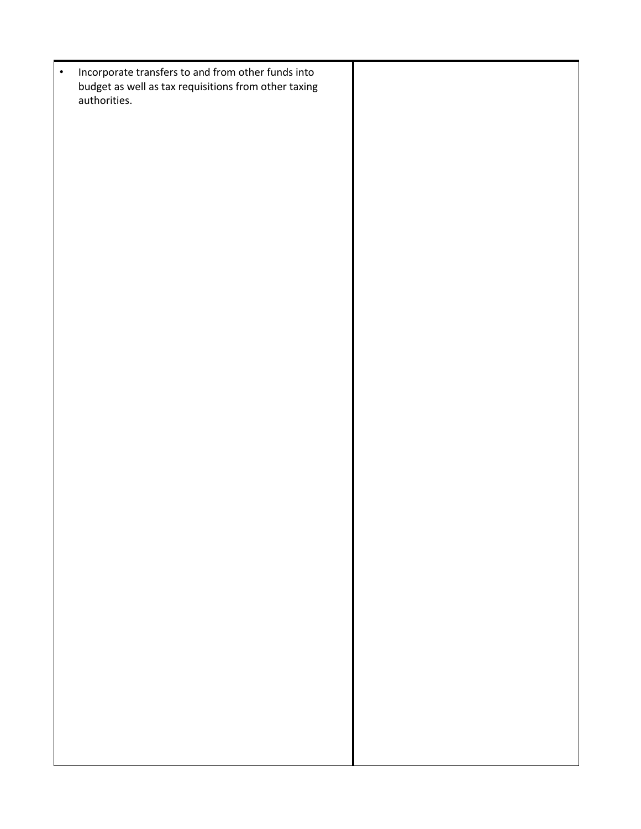• Incorporate transfers to and from other funds into budget as well as tax requisitions from other taxing authorities.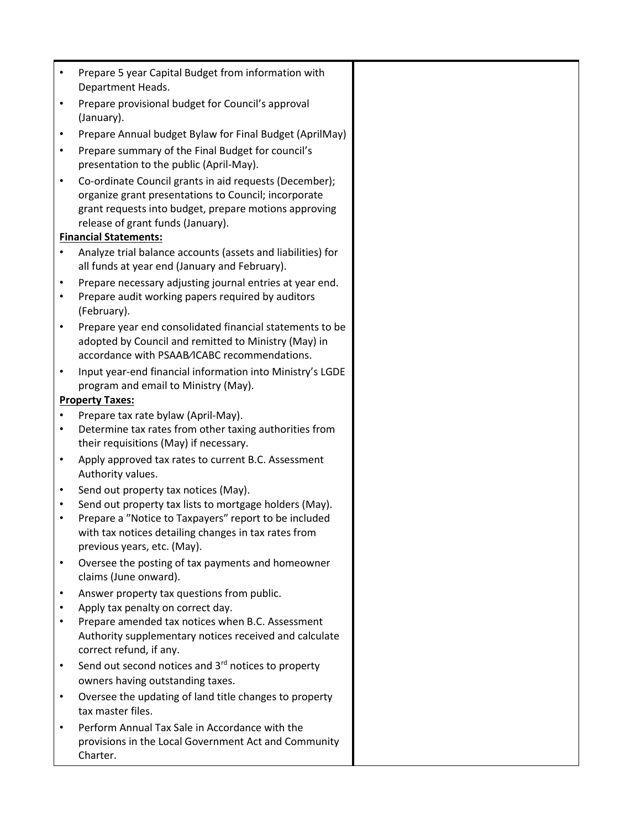| $\bullet$              | Prepare 5 year Capital Budget from information with<br>Department Heads.                                                                                                                                     |  |
|------------------------|--------------------------------------------------------------------------------------------------------------------------------------------------------------------------------------------------------------|--|
| $\bullet$              | Prepare provisional budget for Council's approval<br>(January).                                                                                                                                              |  |
| $\bullet$              | Prepare Annual budget Bylaw for Final Budget (AprilMay)                                                                                                                                                      |  |
| $\bullet$              | Prepare summary of the Final Budget for council's<br>presentation to the public (April-May).                                                                                                                 |  |
| $\bullet$              | Co-ordinate Council grants in aid requests (December);<br>organize grant presentations to Council; incorporate<br>grant requests into budget, prepare motions approving<br>release of grant funds (January). |  |
|                        | <b>Financial Statements:</b>                                                                                                                                                                                 |  |
| $\bullet$              | Analyze trial balance accounts (assets and liabilities) for<br>all funds at year end (January and February).                                                                                                 |  |
| $\bullet$<br>$\bullet$ | Prepare necessary adjusting journal entries at year end.<br>Prepare audit working papers required by auditors<br>(February).                                                                                 |  |
| $\bullet$              | Prepare year end consolidated financial statements to be<br>adopted by Council and remitted to Ministry (May) in<br>accordance with PSAAB/ICABC recommendations.                                             |  |
|                        | Input year-end financial information into Ministry's LGDE<br>program and email to Ministry (May).                                                                                                            |  |
|                        | <b>Property Taxes:</b>                                                                                                                                                                                       |  |
| $\bullet$              | Prepare tax rate bylaw (April-May).                                                                                                                                                                          |  |
| $\bullet$              | Determine tax rates from other taxing authorities from<br>their requisitions (May) if necessary.                                                                                                             |  |
| $\bullet$              | Apply approved tax rates to current B.C. Assessment<br>Authority values.                                                                                                                                     |  |
| $\bullet$              | Send out property tax notices (May).                                                                                                                                                                         |  |
| $\bullet$              | Send out property tax lists to mortgage holders (May).                                                                                                                                                       |  |
|                        | Prepare a "Notice to Taxpayers" report to be included<br>with tax notices detailing changes in tax rates from<br>previous years, etc. (May).                                                                 |  |
| $\bullet$              | Oversee the posting of tax payments and homeowner<br>claims (June onward).                                                                                                                                   |  |
| $\bullet$              | Answer property tax questions from public.                                                                                                                                                                   |  |
| $\bullet$              | Apply tax penalty on correct day.                                                                                                                                                                            |  |
|                        | Prepare amended tax notices when B.C. Assessment<br>Authority supplementary notices received and calculate<br>correct refund, if any.                                                                        |  |
| $\bullet$              | Send out second notices and 3 <sup>rd</sup> notices to property<br>owners having outstanding taxes.                                                                                                          |  |
| $\bullet$              | Oversee the updating of land title changes to property<br>tax master files.                                                                                                                                  |  |
| $\bullet$              | Perform Annual Tax Sale in Accordance with the<br>provisions in the Local Government Act and Community<br>Charter.                                                                                           |  |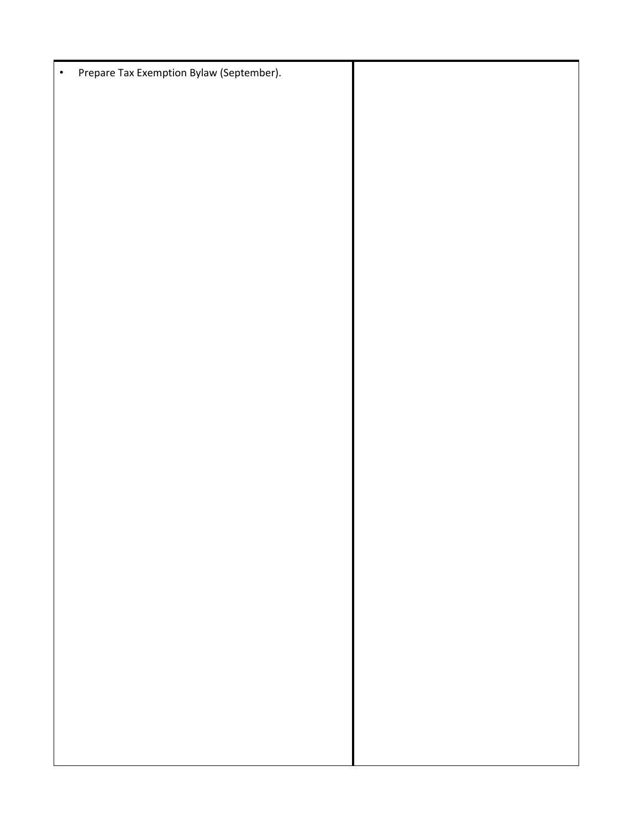| $\bullet$ | Prepare Tax Exemption Bylaw (September). |  |
|-----------|------------------------------------------|--|
|           |                                          |  |
|           |                                          |  |
|           |                                          |  |
|           |                                          |  |
|           |                                          |  |
|           |                                          |  |
|           |                                          |  |
|           |                                          |  |
|           |                                          |  |
|           |                                          |  |
|           |                                          |  |
|           |                                          |  |
|           |                                          |  |
|           |                                          |  |
|           |                                          |  |
|           |                                          |  |
|           |                                          |  |
|           |                                          |  |
|           |                                          |  |
|           |                                          |  |
|           |                                          |  |
|           |                                          |  |
|           |                                          |  |
|           |                                          |  |
|           |                                          |  |
|           |                                          |  |
|           |                                          |  |
|           |                                          |  |
|           |                                          |  |
|           |                                          |  |
|           |                                          |  |
|           |                                          |  |
|           |                                          |  |
|           |                                          |  |
|           |                                          |  |
|           |                                          |  |
|           |                                          |  |
|           |                                          |  |
|           |                                          |  |
|           |                                          |  |
|           |                                          |  |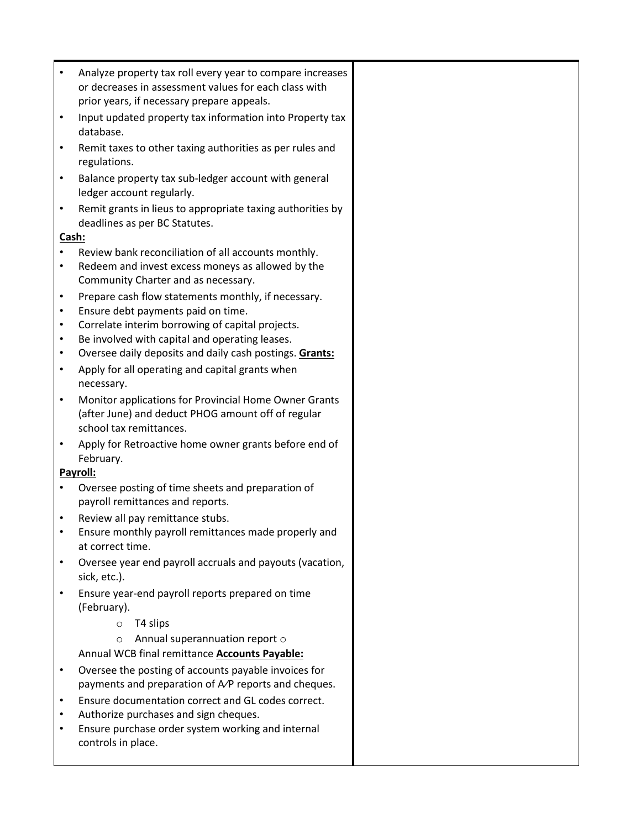| $\bullet$ | Analyze property tax roll every year to compare increases                |  |
|-----------|--------------------------------------------------------------------------|--|
|           | or decreases in assessment values for each class with                    |  |
|           | prior years, if necessary prepare appeals.                               |  |
| $\bullet$ | Input updated property tax information into Property tax                 |  |
|           | database.                                                                |  |
| $\bullet$ | Remit taxes to other taxing authorities as per rules and                 |  |
|           | regulations.                                                             |  |
| $\bullet$ | Balance property tax sub-ledger account with general                     |  |
|           | ledger account regularly.                                                |  |
| $\bullet$ | Remit grants in lieus to appropriate taxing authorities by               |  |
|           | deadlines as per BC Statutes.                                            |  |
| Cash:     |                                                                          |  |
|           | Review bank reconciliation of all accounts monthly.                      |  |
| $\bullet$ | Redeem and invest excess moneys as allowed by the                        |  |
|           | Community Charter and as necessary.                                      |  |
| $\bullet$ | Prepare cash flow statements monthly, if necessary.                      |  |
| $\bullet$ | Ensure debt payments paid on time.                                       |  |
| $\bullet$ | Correlate interim borrowing of capital projects.                         |  |
| $\bullet$ | Be involved with capital and operating leases.                           |  |
| $\bullet$ | Oversee daily deposits and daily cash postings. Grants:                  |  |
| $\bullet$ | Apply for all operating and capital grants when                          |  |
|           | necessary.                                                               |  |
| $\bullet$ | Monitor applications for Provincial Home Owner Grants                    |  |
|           | (after June) and deduct PHOG amount off of regular                       |  |
|           | school tax remittances.                                                  |  |
| $\bullet$ |                                                                          |  |
|           | Apply for Retroactive home owner grants before end of<br>February.       |  |
|           | Payroll:                                                                 |  |
|           | Oversee posting of time sheets and preparation of                        |  |
|           | payroll remittances and reports.                                         |  |
| ٠         | Review all pay remittance stubs.                                         |  |
|           | Ensure monthly payroll remittances made properly and                     |  |
|           | at correct time.                                                         |  |
| $\bullet$ |                                                                          |  |
|           | Oversee year end payroll accruals and payouts (vacation,<br>sick, etc.). |  |
|           |                                                                          |  |
|           | Ensure year-end payroll reports prepared on time<br>(February).          |  |
|           | T4 slips                                                                 |  |
|           | $\circ$                                                                  |  |
|           | Annual superannuation report o<br>$\circ$                                |  |
|           | Annual WCB final remittance <b>Accounts Payable:</b>                     |  |
| $\bullet$ | Oversee the posting of accounts payable invoices for                     |  |
|           | payments and preparation of A/P reports and cheques.                     |  |
| $\bullet$ | Ensure documentation correct and GL codes correct.                       |  |
| $\bullet$ | Authorize purchases and sign cheques.                                    |  |
| $\bullet$ | Ensure purchase order system working and internal                        |  |
|           | controls in place.                                                       |  |
|           |                                                                          |  |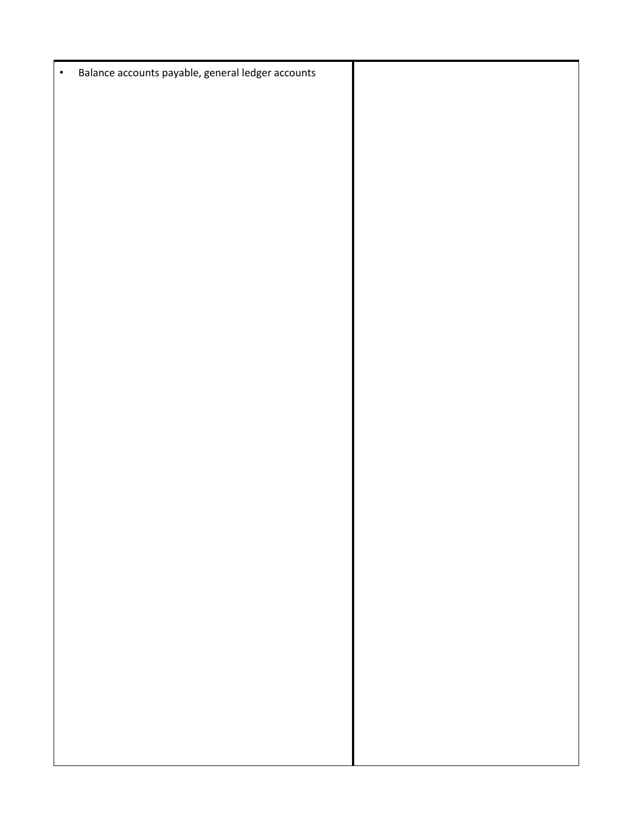• Balance accounts payable, general ledger accounts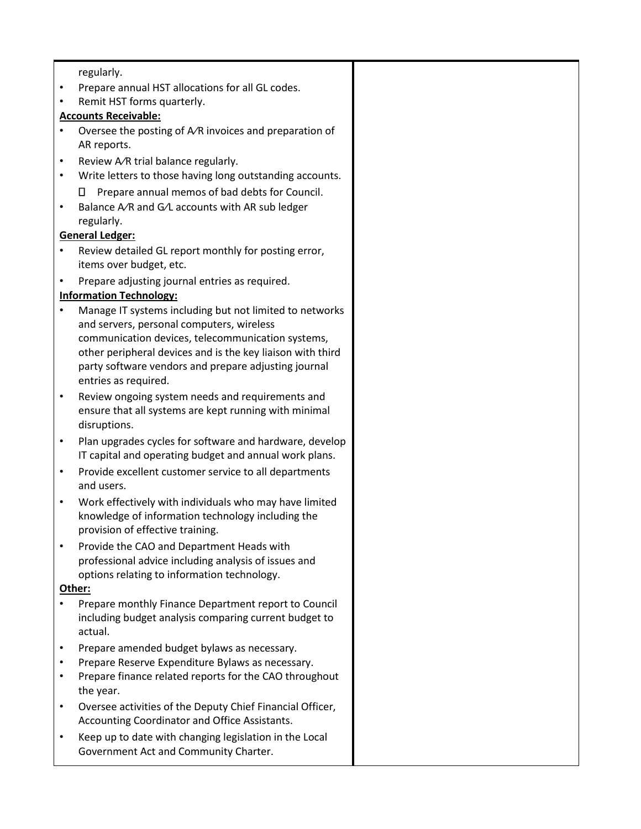regularly.

- Prepare annual HST allocations for all GL codes.
- Remit HST forms quarterly.

## **Accounts Receivable:**

- Oversee the posting of  $A/R$  invoices and preparation of AR reports.
- Review A/R trial balance regularly.
- Write letters to those having long outstanding accounts. □ Prepare annual memos of bad debts for Council.
- Balance A∕R and G∕L accounts with AR sub ledger regularly.

# **General Ledger:**

- Review detailed GL report monthly for posting error, items over budget, etc.
- Prepare adjusting journal entries as required.

# **Information Technology:**

- Manage IT systems including but not limited to networks and servers, personal computers, wireless communication devices, telecommunication systems, other peripheral devices and is the key liaison with third party software vendors and prepare adjusting journal entries as required.
- Review ongoing system needs and requirements and ensure that all systems are kept running with minimal disruptions.
- Plan upgrades cycles for software and hardware, develop IT capital and operating budget and annual work plans.
- Provide excellent customer service to all departments and users.
- Work effectively with individuals who may have limited knowledge of information technology including the provision of effective training.
- Provide the CAO and Department Heads with professional advice including analysis of issues and options relating to information technology.

## **Other:**

- Prepare monthly Finance Department report to Council including budget analysis comparing current budget to actual.
- Prepare amended budget bylaws as necessary.
- Prepare Reserve Expenditure Bylaws as necessary.
- Prepare finance related reports for the CAO throughout the year.
- Oversee activities of the Deputy Chief Financial Officer, Accounting Coordinator and Office Assistants.
- Keep up to date with changing legislation in the Local Government Act and Community Charter.